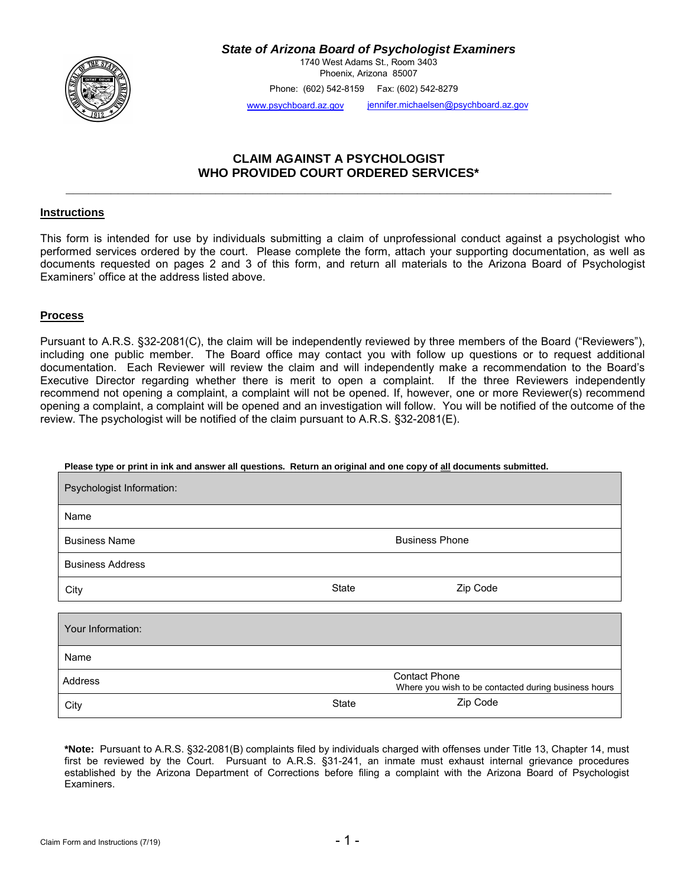

*State of Arizona Board of Psychologist Examiners* 

1740 West Adams St., Room 3403 Phoenix, Arizona 85007

Phone: (602) 542-8159 Fax: (602) 542-8279

[www.psychboard.az.](http://www.psychboard.az.gov/)gov jennifer.michaelsen@psychboard.az.gov

# **CLAIM AGAINST A PSYCHOLOGIST WHO PROVIDED COURT ORDERED SERVICES\***

**\_\_\_\_\_\_\_\_\_\_\_\_\_\_\_\_\_\_\_\_\_\_\_\_\_\_\_\_\_\_\_\_\_\_\_\_\_\_\_\_\_\_\_\_\_\_\_\_\_\_\_\_\_\_\_\_\_\_\_\_\_\_\_\_\_\_\_\_\_\_\_\_\_**

## **Instructions**

This form is intended for use by individuals submitting a claim of unprofessional conduct against a psychologist who performed services ordered by the court. Please complete the form, attach your supporting documentation, as well as documents requested on pages 2 and 3 of this form, and return all materials to the Arizona Board of Psychologist Examiners' office at the address listed above.

### **Process**

Pursuant to A.R.S. §32-2081(C), the claim will be independently reviewed by three members of the Board ("Reviewers"), including one public member. The Board office may contact you with follow up questions or to request additional documentation. Each Reviewer will review the claim and will independently make a recommendation to the Board's Executive Director regarding whether there is merit to open a complaint. If the three Reviewers independently recommend not opening a complaint, a complaint will not be opened. If, however, one or more Reviewer(s) recommend opening a complaint, a complaint will be opened and an investigation will follow. You will be notified of the outcome of the review. The psychologist will be notified of the claim pursuant to A.R.S. §32-2081(E).

#### **Please type or print in ink and answer all questions. Return an original and one copy of all documents submitted.**

| Psychologist Information:       |                       |                                                      |  |  |
|---------------------------------|-----------------------|------------------------------------------------------|--|--|
| Name                            |                       |                                                      |  |  |
| <b>Business Name</b>            | <b>Business Phone</b> |                                                      |  |  |
| <b>Business Address</b>         |                       |                                                      |  |  |
| City                            | State                 | Zip Code                                             |  |  |
|                                 |                       |                                                      |  |  |
| Your Information:               |                       |                                                      |  |  |
| Name                            |                       |                                                      |  |  |
| <b>Contact Phone</b><br>Address |                       | Where you wish to be contacted during business hours |  |  |
| City                            | State                 | Zip Code                                             |  |  |

**\*Note:** Pursuant to A.R.S. §32-2081(B) complaints filed by individuals charged with offenses under Title 13, Chapter 14, must first be reviewed by the Court. Pursuant to A.R.S. §31-241, an inmate must exhaust internal grievance procedures established by the Arizona Department of Corrections before filing a complaint with the Arizona Board of Psychologist Examiners.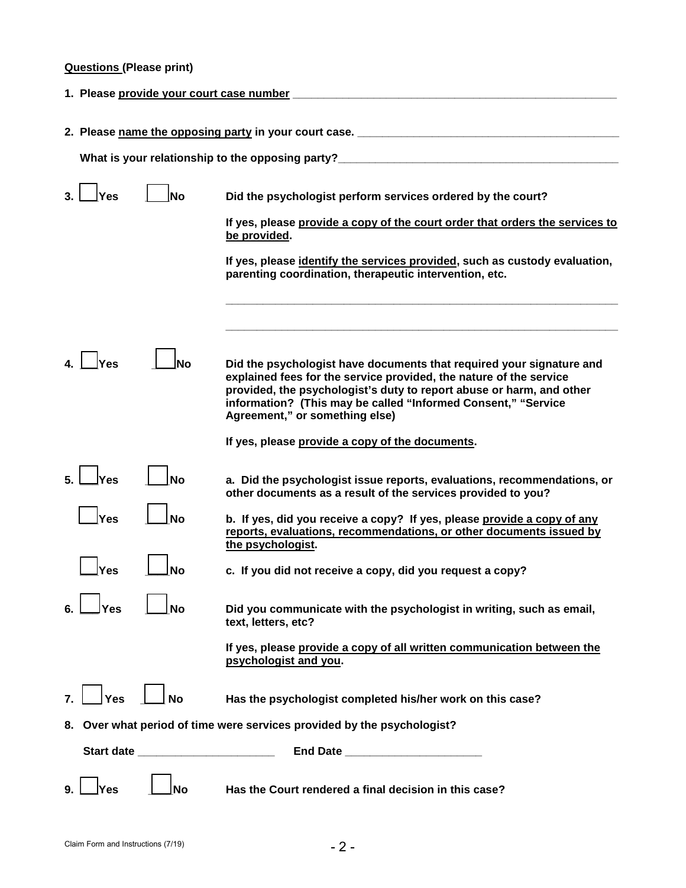# **Questions (Please print)**

| 1. Please provide your court case number                                          |                                      |                                                                                                                                                                                                                                                                                                                       |  |  |  |  |
|-----------------------------------------------------------------------------------|--------------------------------------|-----------------------------------------------------------------------------------------------------------------------------------------------------------------------------------------------------------------------------------------------------------------------------------------------------------------------|--|--|--|--|
| 2. Please name the opposing party in your court case. ___________________________ |                                      |                                                                                                                                                                                                                                                                                                                       |  |  |  |  |
| What is your relationship to the opposing party?                                  |                                      |                                                                                                                                                                                                                                                                                                                       |  |  |  |  |
| Yes                                                                               | No                                   | Did the psychologist perform services ordered by the court?                                                                                                                                                                                                                                                           |  |  |  |  |
|                                                                                   |                                      | If yes, please provide a copy of the court order that orders the services to<br>be provided.                                                                                                                                                                                                                          |  |  |  |  |
|                                                                                   |                                      | If yes, please identify the services provided, such as custody evaluation,<br>parenting coordination, therapeutic intervention, etc.                                                                                                                                                                                  |  |  |  |  |
|                                                                                   |                                      |                                                                                                                                                                                                                                                                                                                       |  |  |  |  |
| Yes                                                                               | Nο                                   | Did the psychologist have documents that required your signature and<br>explained fees for the service provided, the nature of the service<br>provided, the psychologist's duty to report abuse or harm, and other<br>information? (This may be called "Informed Consent," "Service<br>Agreement," or something else) |  |  |  |  |
|                                                                                   |                                      | If yes, please provide a copy of the documents.                                                                                                                                                                                                                                                                       |  |  |  |  |
| lYes                                                                              | <b>No</b>                            | a. Did the psychologist issue reports, evaluations, recommendations, or<br>other documents as a result of the services provided to you?                                                                                                                                                                               |  |  |  |  |
| Yes                                                                               | <b>No</b>                            | b. If yes, did you receive a copy? If yes, please provide a copy of any<br>reports, evaluations, recommendations, or other documents issued by<br>the psychologist.                                                                                                                                                   |  |  |  |  |
| 'es                                                                               | Nο                                   | c. If you did not receive a copy, did you request a copy?                                                                                                                                                                                                                                                             |  |  |  |  |
| Yes                                                                               | <b>No</b>                            | Did you communicate with the psychologist in writing, such as email,<br>text, letters, etc?                                                                                                                                                                                                                           |  |  |  |  |
|                                                                                   |                                      | If yes, please provide a copy of all written communication between the<br>psychologist and you.                                                                                                                                                                                                                       |  |  |  |  |
| <b>Yes</b>                                                                        | <b>No</b>                            | Has the psychologist completed his/her work on this case?                                                                                                                                                                                                                                                             |  |  |  |  |
| 8. Over what period of time were services provided by the psychologist?           |                                      |                                                                                                                                                                                                                                                                                                                       |  |  |  |  |
|                                                                                   | Start date _________________________ |                                                                                                                                                                                                                                                                                                                       |  |  |  |  |
| Yes                                                                               | No                                   | Has the Court rendered a final decision in this case?                                                                                                                                                                                                                                                                 |  |  |  |  |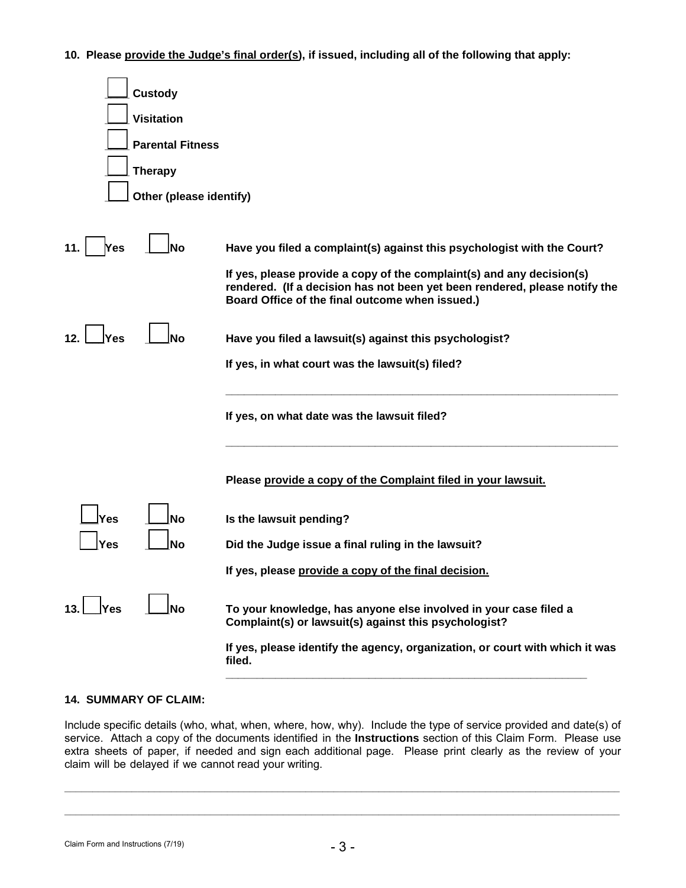**10. Please provide the Judge's final order(s), if issued, including all of the following that apply:**

| <b>Custody</b>           |                                                                                                                                                                                                        |  |  |  |  |  |  |
|--------------------------|--------------------------------------------------------------------------------------------------------------------------------------------------------------------------------------------------------|--|--|--|--|--|--|
| <b>Visitation</b>        |                                                                                                                                                                                                        |  |  |  |  |  |  |
|                          | <b>Parental Fitness</b>                                                                                                                                                                                |  |  |  |  |  |  |
| <b>Therapy</b>           |                                                                                                                                                                                                        |  |  |  |  |  |  |
| Other (please identify)  |                                                                                                                                                                                                        |  |  |  |  |  |  |
|                          |                                                                                                                                                                                                        |  |  |  |  |  |  |
| 11.<br>Yes<br>No         | Have you filed a complaint(s) against this psychologist with the Court?                                                                                                                                |  |  |  |  |  |  |
|                          | If yes, please provide a copy of the complaint(s) and any decision(s)<br>rendered. (If a decision has not been yet been rendered, please notify the<br>Board Office of the final outcome when issued.) |  |  |  |  |  |  |
| 12.<br>Yes<br>Nο         | Have you filed a lawsuit(s) against this psychologist?                                                                                                                                                 |  |  |  |  |  |  |
|                          | If yes, in what court was the lawsuit(s) filed?                                                                                                                                                        |  |  |  |  |  |  |
|                          | If yes, on what date was the lawsuit filed?                                                                                                                                                            |  |  |  |  |  |  |
|                          | Please provide a copy of the Complaint filed in your lawsuit.                                                                                                                                          |  |  |  |  |  |  |
| Yes<br><b>No</b>         | Is the lawsuit pending?                                                                                                                                                                                |  |  |  |  |  |  |
| <b>No</b><br>Yes         | Did the Judge issue a final ruling in the lawsuit?                                                                                                                                                     |  |  |  |  |  |  |
|                          | If yes, please provide a copy of the final decision.                                                                                                                                                   |  |  |  |  |  |  |
| ∣Yes<br>13.<br><b>No</b> | To your knowledge, has anyone else involved in your case filed a<br>Complaint(s) or lawsuit(s) against this psychologist?                                                                              |  |  |  |  |  |  |
|                          | If yes, please identify the agency, organization, or court with which it was<br>filed.                                                                                                                 |  |  |  |  |  |  |

## **14. SUMMARY OF CLAIM:**

Include specific details (who, what, when, where, how, why). Include the type of service provided and date(s) of service. Attach a copy of the documents identified in the **Instructions** section of this Claim Form. Please use extra sheets of paper, if needed and sign each additional page. Please print clearly as the review of your claim will be delayed if we cannot read your writing.

**\_\_\_\_\_\_\_\_\_\_\_\_\_\_\_\_\_\_\_\_\_\_\_\_\_\_\_\_\_\_\_\_\_\_\_\_\_\_\_\_\_\_\_\_\_\_\_\_\_\_\_\_\_\_\_\_\_\_\_\_\_\_\_\_\_\_\_\_\_\_\_\_\_\_\_\_\_\_\_\_\_\_\_\_\_\_\_\_\_\_\_\_\_\_\_\_\_\_\_**

**\_\_\_\_\_\_\_\_\_\_\_\_\_\_\_\_\_\_\_\_\_\_\_\_\_\_\_\_\_\_\_\_\_\_\_\_\_\_\_\_\_\_\_\_\_\_\_\_\_\_\_\_\_\_\_\_\_\_\_\_\_\_\_\_\_\_\_\_\_\_\_\_\_\_\_\_\_\_\_\_\_\_\_\_\_\_\_\_\_\_\_\_\_\_\_\_\_\_\_**

Claim Form and Instructions (7/19)